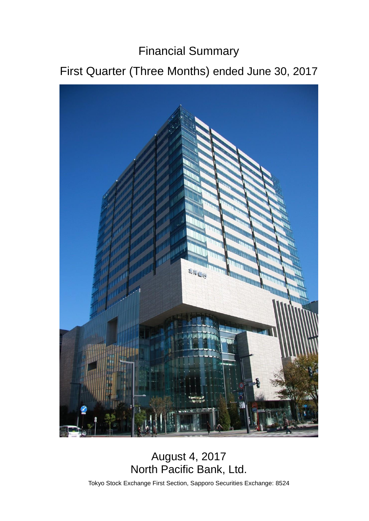# Financial Summary

# First Quarter (Three Months) ended June 30, 2017



## August 4, 2017 North Pacific Bank, Ltd.

Tokyo Stock Exchange First Section, Sapporo Securities Exchange: 8524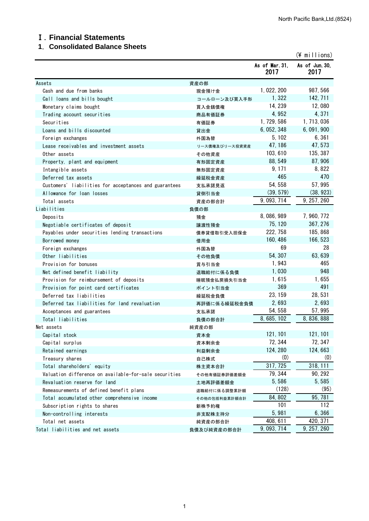#### Ⅰ.**Financial Statements**

#### **1**.**Consolidated Balance Sheets**

|                                                       |                |                        | $(*)$ millions)        |
|-------------------------------------------------------|----------------|------------------------|------------------------|
|                                                       |                | As of Mar. 31,<br>2017 | As of Jun. 30,<br>2017 |
| Assets                                                | 資産の部           |                        |                        |
| Cash and due from banks                               | 現金預け金          | 1, 022, 200            | 987, 566               |
| Call loans and bills bought                           | コールローン及び買入手形   | 1,322                  | 142, 711               |
| Monetary claims bought                                | 買入金銭債権         | 14, 239                | 12,080                 |
| Trading account securities                            | 商品有価証券         | 4,952                  | 4,371                  |
| Securities                                            | 有価証券           | 1, 729, 586            | 1, 713, 036            |
| Loans and bills discounted                            | 貸出金            | 6, 052, 348            | 6, 091, 900            |
| Foreign exchanges                                     | 外国為替           | 5, 102                 | 6,361                  |
| Lease receivables and investment assets               | リース債権及びリース投資資産 | 47, 186                | 47, 573                |
| Other assets                                          | その他資産          | 103, 610               | 135, 387               |
| Property, plant and equipment                         | 有形固定資産         | 88, 549                | 87, 906                |
| Intangible assets                                     | 無形固定資産         | 9, 171                 | 8,822                  |
| Deferred tax assets                                   | 繰延税金資産         | 465                    | 470                    |
| Customers' liabilities for acceptances and guarantees | 支払承諾見返         | 54, 558                | 57,995                 |
| Allowance for loan losses                             | 貸倒引当金          | (39, 579)              | (38, 923)              |
| Total assets                                          | 資産の部合計         | 9, 093, 714            | 9, 257, 260            |
| Liabilities                                           | 負債の部           |                        |                        |
| Deposits                                              | 預金             | 8,086,989              | 7, 960, 772            |
| Negotiable certificates of deposit                    | 譲渡性預金          | 75, 120                | 367, 276               |
| Payables under securities lending transactions        | 債券貸借取引受入担保金    | 222, 758               | 185, 868               |
| Borrowed money                                        | 借用金            | 160, 486               | 166, 523               |
| Foreign exchanges                                     | 外国為替           | 69                     | 28                     |
| Other liabilities                                     | その他負債          | 54, 307                | 63, 639                |
| Provision for bonuses                                 | 賞与引当金          | 1,943                  | 465                    |
| Net defined benefit liability                         | 退職給付に係る負債      | 1,030                  | 948                    |
| Provision for reimbursement of deposits               | 睡眠預金払戻損失引当金    | 1,615                  | 1,655                  |
| Provision for point card certificates                 | ポイント引当金        | 369                    | 491                    |
| Deferred tax liabilities                              | 繰延税金負債         | 23, 159                | 28,531                 |
| Deferred tax liabilities for land revaluation         | 再評価に係る繰延税金負債   | 2,693                  | 2,693                  |
| Acceptances and guarantees                            | 支払承諾           | 54, 558                | 57, 995                |
| Total liabilities                                     | 負債の部合計         | 8, 685, 102            | 8, 836, 888            |
| Net assets                                            | 純資産の部          |                        |                        |
| Capital stock                                         | 資本金            | 121, 101               | 121, 101               |
| Capital surplus                                       | 資本剰余金          | 72, 344                | 72, 347                |
| Retained earnings                                     | 利益剰余金          | 124, 280               | 124,663                |
| Treasury shares                                       | 自己株式           | (0)                    | (0)                    |
| Total shareholders' equity                            | 株主資本合計         | 317, 725               | 318, 111               |
| Valuation difference on available-for-sale securities | その他有価証券評価差額金   | 79, 344                | 90, 292                |
| Revaluation reserve for land                          | 土地再評価差額金       | 5,586                  | 5,585                  |
| Remeasurements of defined benefit plans               | 退職給付に係る調整累計額   | (128)                  | (95)                   |
| Total accumulated other comprehensive income          | その他の包括利益累計額合計  | 84, 802                | 95, 781                |
| Subscription rights to shares                         | 新株予約権          | 101                    | 112                    |
| Non-controlling interests                             | 非支配株主持分        | 5,981                  | 6,366                  |
| Total net assets                                      | 純資産の部合計        | 408, 611               | 420, 371               |
| Total liabilities and net assets                      | 負債及び純資産の部合計    | 9, 093, 714            | 9, 257, 260            |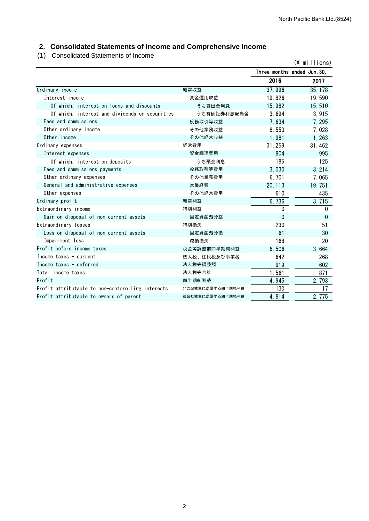## **2**.**Consolidated Statements of Income and Comprehensive Income**

(1) Consolidated Statements of Income

| (1) Consolidated Statements of income             |                  |                             | $(\frac{2}{3})$ millions) |
|---------------------------------------------------|------------------|-----------------------------|---------------------------|
|                                                   |                  | Three months ended Jun. 30, |                           |
|                                                   |                  | 2016                        | 2017                      |
| Ordinary income                                   | 経常収益             | 37,996                      | 35, 178                   |
| Interest income                                   | 資金運用収益           | 19,826                      | 19,590                    |
| Of which, interest on loans and discounts         | うち貸出金利息          | 15,982                      | 15,510                    |
| Of which, interest and dividends on securities    | うち有価証券利息配当金      | 3,694                       | 3,915                     |
| Fees and commissions                              | 役務取引等収益          | 7,634                       | 7, 295                    |
| Other ordinary income                             | その他業務収益          | 8,553                       | 7,028                     |
| Other income                                      | その他経常収益          | 1,981                       | 1, 263                    |
| Ordinary expenses                                 | 経常費用             | 31, 259                     | 31, 462                   |
| Interest expenses                                 | 資金調達費用           | 804                         | 995                       |
| Of which, interest on deposits                    | うち預金利息           | 185                         | 125                       |
| Fees and commissions payments                     | 役務取引等費用          | 3,030                       | 3, 214                    |
| Other ordinary expenses                           | その他業務費用          | 6,701                       | 7,065                     |
| General and administrative expenses               | 営業経費             | 20, 113                     | 19, 751                   |
| Other expenses                                    | その他経常費用          | 610                         | 435                       |
| Ordinary profit                                   | 経常利益             | 6,736                       | 3,715                     |
| Extraordinary income                              | 特別利益             | 0                           | $\Omega$                  |
| Gain on disposal of non-current assets            | 固定資産処分益          | $\mathbf{0}$                | 0                         |
| Extraordinary losses                              | 特別損失             | 230                         | 51                        |
| Loss on disposal of non-current assets            | 固定資産処分損          | 61                          | 30                        |
| Impairment loss                                   | 減損損失             | 168                         | 20                        |
| Profit before income taxes                        | 税金等調整前四半期純利益     | 6,506                       | 3,664                     |
| Income taxes $-$ current                          | 法人税、住民税及び事業税     | 642                         | 268                       |
| Income taxes - deferred                           | 法人税等調整額          | 919                         | 602                       |
| Total income taxes                                | 法人税等合計           | 1,561                       | 871                       |
| Profit                                            | 四半期純利益           | 4,945                       | 2,793                     |
| Profit attributable to non-contorolling interests | 非支配株主に帰属する四半期純利益 | 130                         | 17                        |
| Profit attributable to owners of parent           | 親会社株主に帰属する四半期純利益 | 4,814                       | 2,775                     |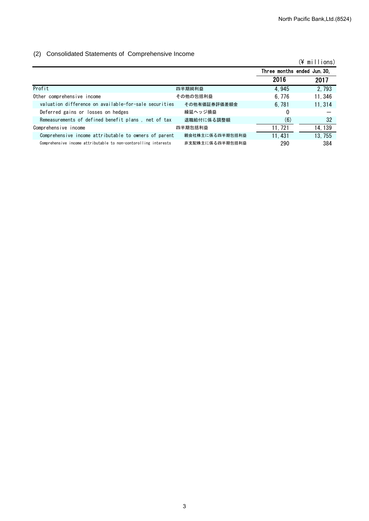#### (2) Consolidated Statements of Comprehensive Income

|                                                                 |                 |                             | $(\frac{2}{3})$ millions) |
|-----------------------------------------------------------------|-----------------|-----------------------------|---------------------------|
|                                                                 |                 | Three months ended Jun. 30, |                           |
|                                                                 |                 | 2016                        | 2017                      |
| Profit                                                          | 四半期純利益          | 4.945                       | 2, 793                    |
| Other comprehensive income                                      | その他の包括利益        | 6.776                       | 11, 346                   |
| valuation difference on available-for-sale securities           | その他有価証券評価差額金    | 6.781                       | 11.314                    |
| Deferred gains or losses on hedges                              | 繰延ヘッジ損益         | 0                           |                           |
| Remeasurements of defined benefit plans, net of tax             | 退職給付に係る調整額      | (6)                         | 32                        |
| Comprehensive income                                            | 四半期包括利益         | 11, 721                     | 14, 139                   |
| Comprehensive income attributable to owners of parent           | 親会社株主に係る四半期包括利益 | 11.431                      | 13, 755                   |
| Comprehensive income attributable to non-contorolling interests | 非支配株主に係る四半期包括利益 | 290                         | 384                       |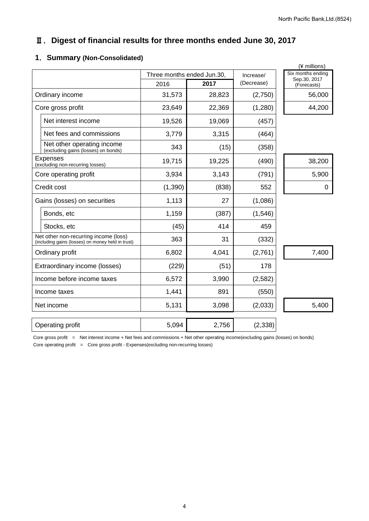## Ⅱ.**Digest of financial results for three months ended June 30, 2017**

## **1**.**Summary (Non-Consolidated)**

|          |        | Increase/                  | Six months ending           |  |
|----------|--------|----------------------------|-----------------------------|--|
| 2016     | 2017   | (Decrease)                 | Sep.30, 2017<br>(Forecasts) |  |
| 31,573   | 28,823 | (2,750)                    | 56,000                      |  |
| 23,649   | 22,369 | (1,280)                    | 44,200                      |  |
| 19,526   | 19,069 | (457)                      |                             |  |
| 3,779    | 3,315  | (464)                      |                             |  |
| 343      | (15)   | (358)                      |                             |  |
| 19,715   | 19,225 | (490)                      | 38,200                      |  |
| 3,934    | 3,143  | (791)                      | 5,900                       |  |
| (1, 390) | (838)  | 552                        | 0                           |  |
| 1,113    | 27     | (1,086)                    |                             |  |
| 1,159    | (387)  | (1,546)                    |                             |  |
| (45)     | 414    | 459                        |                             |  |
| 363      | 31     | (332)                      |                             |  |
| 6,802    | 4,041  | (2,761)                    | 7,400                       |  |
| (229)    | (51)   | 178                        |                             |  |
| 6,572    | 3,990  | (2,582)                    |                             |  |
| 1,441    | 891    | (550)                      |                             |  |
| 5,131    | 3,098  | (2,033)                    | 5,400                       |  |
| 5,094    | 2,756  | (2, 338)                   |                             |  |
|          |        | Three months ended Jun.30, |                             |  |

Core gross profit = Net interest income + Net fees and commissions + Net other operating income(excluding gains (losses) on bonds) Core operating profit = Core gross profit - Expenses(excluding non-recurring losses)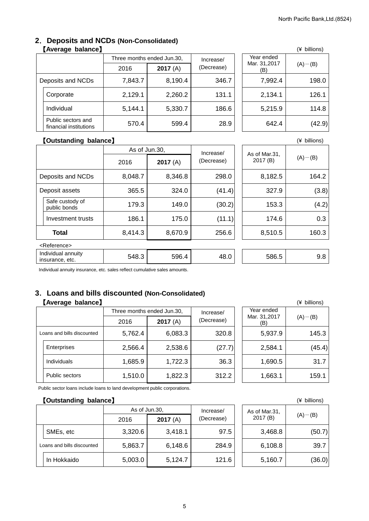#### **2**.**Deposits and NCDs (Non-Consolidated)** 【**Average balance**】 (¥ billions)

|  |                                              | Three months ended Jun.30, |         | Increase/  | Year ended          |             |
|--|----------------------------------------------|----------------------------|---------|------------|---------------------|-------------|
|  |                                              | 2016                       | 2017(A) | (Decrease) | Mar. 31,2017<br>(B) | $(A)$ – (B) |
|  | Deposits and NCDs                            | 7,843.7                    | 8,190.4 | 346.7      | 7,992.4             | 198.0       |
|  | Corporate                                    | 2,129.1                    | 2,260.2 | 131.1      | 2,134.1             | 126.1       |
|  | Individual                                   | 5,144.1                    | 5,330.7 | 186.6      | 5,215.9             | 114.8       |
|  | Public sectors and<br>financial institutions | 570.4                      | 599.4   | 28.9       | 642.4               | (42.9)      |

|                            | (¥ billions) |
|----------------------------|--------------|
| Year ended<br>Mar. 31,2017 | $(A) - (B)$  |
| 7,992.4                    | 198.0        |
| 2,134.1                    | 126.1        |
| 5,215.9                    | 114.8        |
| 642.4                      | (42.9)       |

#### 【**Outstanding balance**】 (¥ billions)

|                |                                       |         | As of Jun.30, |                         | As of Mar.31. |             |
|----------------|---------------------------------------|---------|---------------|-------------------------|---------------|-------------|
|                |                                       | 2016    | 2017(A)       | Increase/<br>(Decrease) | 2017 (B)      | $(A) - (B)$ |
|                | Deposits and NCDs                     | 8,048.7 | 8,346.8       | 298.0                   | 8,182.5       | 164.2       |
| Deposit assets |                                       | 365.5   | 324.0         | (41.4)                  | 327.9         | (3.8)       |
|                | Safe custody of<br>public bonds       | 179.3   | 149.0         | (30.2)                  | 153.3         | (4.2)       |
|                | Investment trusts                     | 186.1   | 175.0         | (11.1)                  | 174.6         | 0.3         |
|                | <b>Total</b>                          | 8,414.3 | 8,670.9       | 256.6                   | 8,510.5       | 160.3       |
|                | <reference></reference>               |         |               |                         |               |             |
|                | Individual annuity<br>insurance, etc. | 548.3   | 596.4         | 48.0                    | 586.5         | 9.8         |

Individual annuity insurance, etc. sales reflect cumulative sales amounts.

## **3**.**Loans and bills discounted (Non-Consolidated)**

## 【**Average balance**】 (¥ billions)

|  |                            | Three months ended Jun.30, |         | Increase/  | Year ended          |             |
|--|----------------------------|----------------------------|---------|------------|---------------------|-------------|
|  |                            | 2016                       | 2017(A) | (Decrease) | Mar. 31,2017<br>(B) | $(A) - (B)$ |
|  | Loans and bills discounted | 5,762.4                    | 6,083.3 | 320.8      | 5,937.9             | 145.3       |
|  | Enterprises                | 2,566.4                    | 2,538.6 | (27.7)     | 2,584.1             | (45.4)      |
|  | <b>Individuals</b>         | 1,685.9                    | 1,722.3 | 36.3       | 1,690.5             | 31.7        |
|  | <b>Public sectors</b>      | 1,510.0                    | 1,822.3 | 312.2      | 1,663.1             | 159.1       |

|                                   | (* DIIIIONS) |
|-----------------------------------|--------------|
| Year ended<br>Mar. 31,2017<br>(B) | $(A) - (B)$  |
| 5,937.9                           | 145.3        |
| 2,584.1                           | (45.4)       |
| 1,690.5                           | 31.7         |
| 1,663.1                           | 159.1        |

Public sector loans include loans to land development public corporations.

## 【**Outstanding balance**】 (¥ billions)

|                            | As of Jun.30. |         | Increase/  | As of Mar.31. |             |
|----------------------------|---------------|---------|------------|---------------|-------------|
|                            | 2016          | 2017(A) | (Decrease) | 2017(B)       | $(A) - (B)$ |
| SMEs, etc                  | 3,320.6       | 3,418.1 | 97.5       | 3,468.8       | (50.7)      |
| Loans and bills discounted | 5,863.7       | 6,148.6 | 284.9      | 6,108.8       | 39.7        |
| In Hokkaido                | 5,003.0       | 5,124.7 | 121.6      | 5,160.7       | (36.0)      |

|                           | (* DIIIIONS) |
|---------------------------|--------------|
| As of Mar.31,<br>2017 (B) | $(A) - (B)$  |
| 3,468.8                   | (50.7)       |
| 6,108.8                   | 39.7         |
| 5,160.7                   | (36.0)       |

#### 5